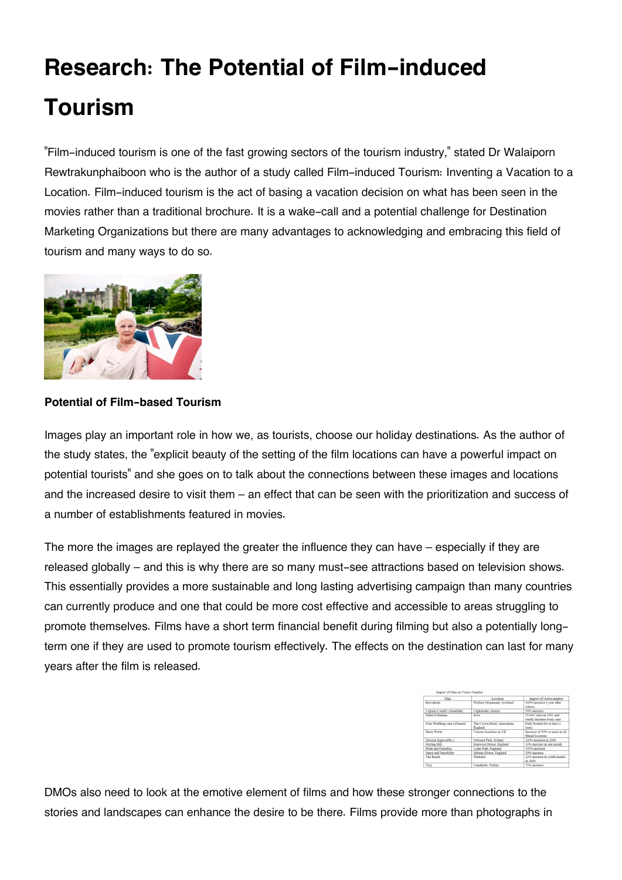# **Research: The Potential of Film-induced Tourism**

"Film-induced tourism is one of the fast growing sectors of the tourism industry," stated Dr Walaiporn Rewtrakunphaiboon who is the author of a study called Film-induced Tourism: Inventing a Vacation to a Location. Film-induced tourism is the act of basing a vacation decision on what has been seen in the movies rather than a traditional brochure. It is a wake-call and a potential challenge for Destination Marketing Organizations but there are many advantages to acknowledging and embracing this field of tourism and many ways to do so.



### **Potential of Film-based Tourism**

Images play an important role in how we, as tourists, choose our holiday destinations. As the author of the study states, the "explicit beauty of the setting of the film locations can have a powerful impact on potential tourists" and she goes on to talk about the connections between these images and locations and the increased desire to visit them – an effect that can be seen with the prioritization and success of a number of establishments featured in movies.

The more the images are replayed the greater the influence they can have – especially if they are released globally – and this is why there are so many must-see attractions based on television shows. This essentially provides a more sustainable and long lasting advertising campaign than many countries can currently produce and one that could be more cost effective and accessible to areas struggling to promote themselves. Films have a short term financial benefit during filming but also a potentially longterm one if they are used to promote tourism effectively. The effects on the destination can last for many years after the film is released.

| Film                        | Location                              | Impact of visitor number                                |
|-----------------------------|---------------------------------------|---------------------------------------------------------|
| Brayeheart                  | Wallace Monument, Scotland            | 300% increase a year after<br>release                   |
| Captain Corelli's Mandolin  | Cephalonia, Greece                    | 50% increase                                            |
| Field of Dreams             | <b>Lowa</b>                           | 35,000 visits in 1991 and<br>steady increase every year |
| Four Weddings and a Funeral | The Crown Hotel, Amersham.<br>England | Fully booked for at least 3<br>vears                    |
| Harry Potter                | Various locations in UK               | Increase of 50% or more in all<br>filmed locations      |
| Mission Impossible 2        | National Park, Sydney                 | 200% increase in 2000                                   |
| Notting Hill                | Kenwood House, England                | 10% increase in one month                               |
| Pride and Prejudice         | Lyme Park, England                    | 150% increase                                           |
| Sense and Sensibility       | Saltram House, England                | 39% increase                                            |
| The Beach                   | Thailsnd                              | 22% increase in youth market<br>in 2000                 |
| Troy                        | Canakkale, Turkey                     | 73% increase                                            |

DMOs also need to look at the emotive element of films and how these stronger connections to the stories and landscapes can enhance the desire to be there. Films provide more than photographs in